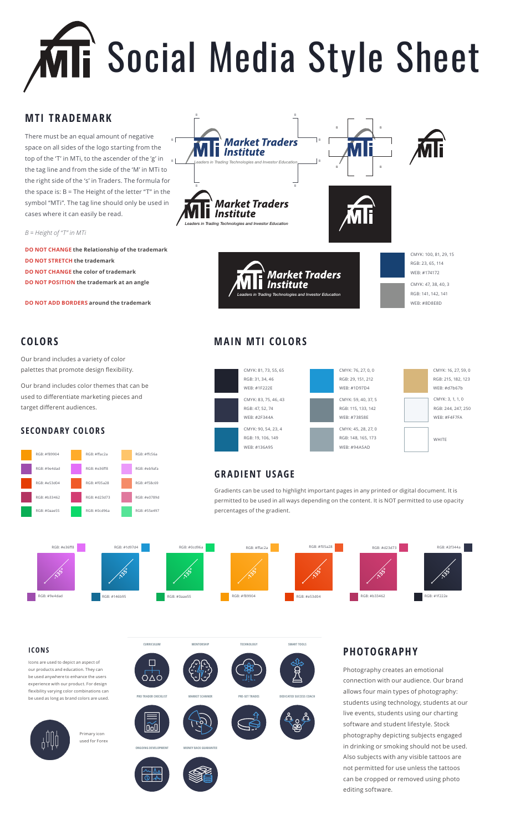# Social Media Style Sheet

#### **MTI TRADEMARK**

There must be an equal amount of negative space on all sides of the logo starting from the top of the 'T' in MTi, to the ascender of the 'g' in the tag line and from the side of the 'M' in MTi to the right side of the 's' in Traders. The formula for the space is: B = The Height of the letter "T" in the symbol "MTi". The tag line should only be used in cases where it can easily be read. B B

*B = Height of "T" in MTi*

**DO NOT CHANGE the Relationship of the trademark DO NOT STRETCH the trademark DO NOT CHANGE the color of trademark DO NOT POSITION the trademark at an angle**

**DO NOT ADD BORDERS around the trademark**

#### **COLORS**

Our brand includes a variety of color palettes that promote design flexibility.

Our brand includes color themes that can be used to differentiate marketing pieces and target different audiences.

#### **SECONDARY COLORS**





#### **MAIN MTI COLORS**



#### **GRADIENT USAGE**

Gradients can be used to highlight important pages in any printed or digital document. It is permitted to be used in all ways depending on the content. It is NOT permitted to use opacity percentages of the gradient.



**CURRICULUM MENTORSHIP TECHNOLOGY SMART TOOLS**

**PRO TRADER CHECKLIST MARKET SCANNER PRE-SET TRADES DEDICATED SUCCESS COACH**

#### **ICONS**

Icons are used to depict an aspect of our products and education. They can be used anywhere to enhance the users experience with our product. For design flexibility varying color combinations can be used as long as brand colors are used.



Primary icon used for Forex







 $\Box$ óΔό

lood







#### **PHOTOGRAPHY**

Photography creates an emotional connection with our audience. Our brand allows four main types of photography: students using technology, students at our live events, students using our charting software and student lifestyle. Stock photography depicting subjects engaged in drinking or smoking should not be used. Also subjects with any visible tattoos are not permitted for use unless the tattoos can be cropped or removed using photo editing software.